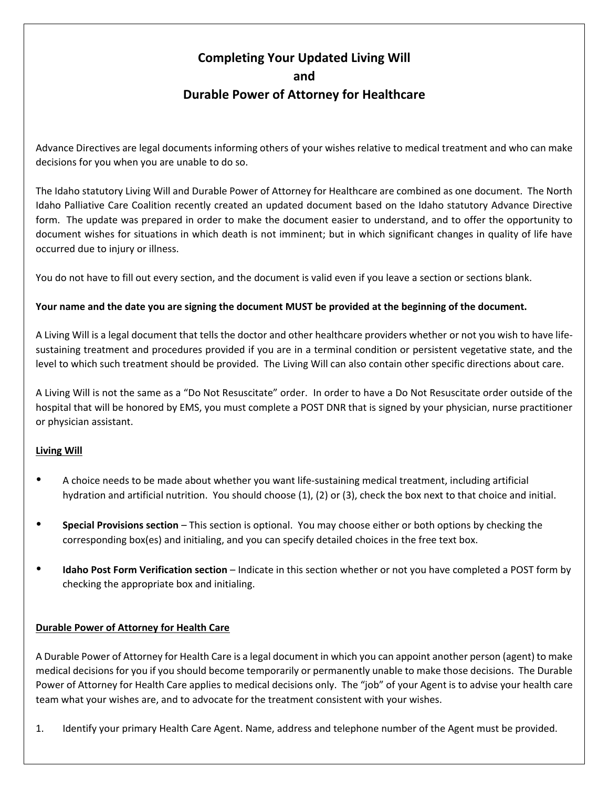## **Completing Your Updated Living Will and Durable Power of Attorney for Healthcare**

Advance Directives are legal documents informing others of your wishes relative to medical treatment and who can make decisions for you when you are unable to do so.

The Idaho statutory Living Will and Durable Power of Attorney for Healthcare are combined as one document. The North Idaho Palliative Care Coalition recently created an updated document based on the Idaho statutory Advance Directive form. The update was prepared in order to make the document easier to understand, and to offer the opportunity to document wishes for situations in which death is not imminent; but in which significant changes in quality of life have occurred due to injury or illness.

You do not have to fill out every section, and the document is valid even if you leave a section or sections blank.

## **Your name and the date you are signing the document MUST be provided at the beginning of the document.**

A Living Will is a legal document that tells the doctor and other healthcare providers whether or not you wish to have lifesustaining treatment and procedures provided if you are in a terminal condition or persistent vegetative state, and the level to which such treatment should be provided. The Living Will can also contain other specific directions about care.

A Living Will is not the same as a "Do Not Resuscitate" order. In order to have a Do Not Resuscitate order outside of the hospital that will be honored by EMS, you must complete a POST DNR that is signed by your physician, nurse practitioner or physician assistant.

## **Living Will**

- A choice needs to be made about whether you want life-sustaining medical treatment, including artificial hydration and artificial nutrition. You should choose (1), (2) or (3), check the box next to that choice and initial.
- **Special Provisions section** This section is optional. You may choose either or both options by checking the corresponding box(es) and initialing, and you can specify detailed choices in the free text box.
- **Idaho Post Form Verification section** Indicate in this section whether or not you have completed a POST form by checking the appropriate box and initialing.

## **Durable Power of Attorney for Health Care**

A Durable Power of Attorney for Health Care is a legal document in which you can appoint another person (agent) to make medical decisions for you if you should become temporarily or permanently unable to make those decisions. The Durable Power of Attorney for Health Care applies to medical decisions only. The "job" of your Agent is to advise your health care team what your wishes are, and to advocate for the treatment consistent with your wishes.

1. Identify your primary Health Care Agent. Name, address and telephone number of the Agent must be provided.